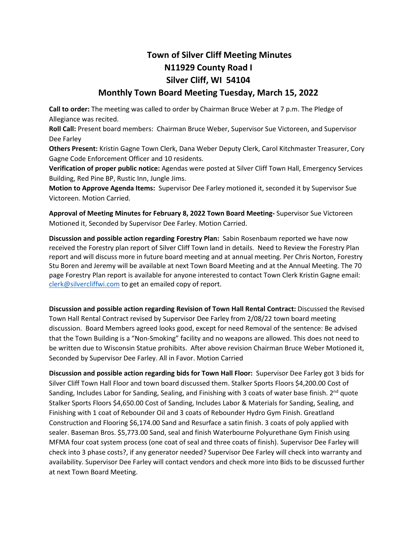## **Town of Silver Cliff Meeting Minutes N11929 County Road I Silver Cliff, WI 54104**

## **Monthly Town Board Meeting Tuesday, March 15, 2022**

**Call to order:** The meeting was called to order by Chairman Bruce Weber at 7 p.m. The Pledge of Allegiance was recited.

**Roll Call:** Present board members: Chairman Bruce Weber, Supervisor Sue Victoreen, and Supervisor Dee Farley

**Others Present:** Kristin Gagne Town Clerk, Dana Weber Deputy Clerk, Carol Kitchmaster Treasurer, Cory Gagne Code Enforcement Officer and 10 residents.

**Verification of proper public notice:** Agendas were posted at Silver Cliff Town Hall, Emergency Services Building, Red Pine BP, Rustic Inn, Jungle Jims.

**Motion to Approve Agenda Items:** Supervisor Dee Farley motioned it, seconded it by Supervisor Sue Victoreen. Motion Carried.

**Approval of Meeting Minutes for February 8, 2022 Town Board Meeting-** Supervisor Sue Victoreen Motioned it, Seconded by Supervisor Dee Farley. Motion Carried.

**Discussion and possible action regarding Forestry Plan:** Sabin Rosenbaum reported we have now received the Forestry plan report of Silver Cliff Town land in details. Need to Review the Forestry Plan report and will discuss more in future board meeting and at annual meeting. Per Chris Norton, Forestry Stu Boren and Jeremy will be available at next Town Board Meeting and at the Annual Meeting. The 70 page Forestry Plan report is available for anyone interested to contact Town Clerk Kristin Gagne email: [clerk@silvercliffwi.com](mailto:clerk@silvercliffwi.com) to get an emailed copy of report.

**Discussion and possible action regarding Revision of Town Hall Rental Contract:** Discussed the Revised Town Hall Rental Contract revised by Supervisor Dee Farley from 2/08/22 town board meeting discussion. Board Members agreed looks good, except for need Removal of the sentence: Be advised that the Town Building is a "Non-Smoking" facility and no weapons are allowed. This does not need to be written due to Wisconsin Statue prohibits. After above revision Chairman Bruce Weber Motioned it, Seconded by Supervisor Dee Farley. All in Favor. Motion Carried

**Discussion and possible action regarding bids for Town Hall Floor:** Supervisor Dee Farley got 3 bids for Silver Cliff Town Hall Floor and town board discussed them. Stalker Sports Floors \$4,200.00 Cost of Sanding, Includes Labor for Sanding, Sealing, and Finishing with 3 coats of water base finish.  $2^{nd}$  quote Stalker Sports Floors \$4,650.00 Cost of Sanding, Includes Labor & Materials for Sanding, Sealing, and Finishing with 1 coat of Rebounder Oil and 3 coats of Rebounder Hydro Gym Finish. Greatland Construction and Flooring \$6,174.00 Sand and Resurface a satin finish. 3 coats of poly applied with sealer. Baseman Bros. \$5,773.00 Sand, seal and finish Waterbourne Polyurethane Gym Finish using MFMA four coat system process (one coat of seal and three coats of finish). Supervisor Dee Farley will check into 3 phase costs?, if any generator needed? Supervisor Dee Farley will check into warranty and availability. Supervisor Dee Farley will contact vendors and check more into Bids to be discussed further at next Town Board Meeting.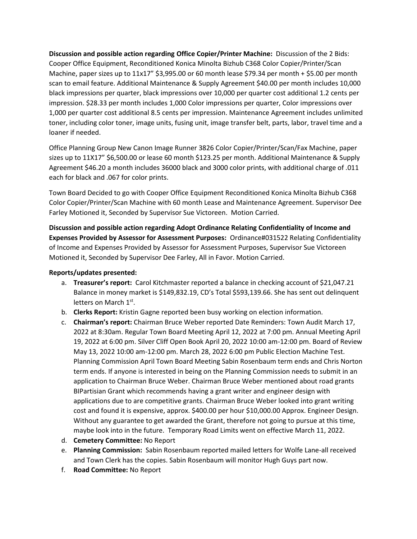**Discussion and possible action regarding Office Copier/Printer Machine:** Discussion of the 2 Bids: Cooper Office Equipment, Reconditioned Konica Minolta Bizhub C368 Color Copier/Printer/Scan Machine, paper sizes up to 11x17" \$3,995.00 or 60 month lease \$79.34 per month + \$5.00 per month scan to email feature. Additional Maintenance & Supply Agreement \$40.00 per month includes 10,000 black impressions per quarter, black impressions over 10,000 per quarter cost additional 1.2 cents per impression. \$28.33 per month includes 1,000 Color impressions per quarter, Color impressions over 1,000 per quarter cost additional 8.5 cents per impression. Maintenance Agreement includes unlimited toner, including color toner, image units, fusing unit, image transfer belt, parts, labor, travel time and a loaner if needed.

Office Planning Group New Canon Image Runner 3826 Color Copier/Printer/Scan/Fax Machine, paper sizes up to 11X17" \$6,500.00 or lease 60 month \$123.25 per month. Additional Maintenance & Supply Agreement \$46.20 a month includes 36000 black and 3000 color prints, with additional charge of .011 each for black and .067 for color prints.

Town Board Decided to go with Cooper Office Equipment Reconditioned Konica Minolta Bizhub C368 Color Copier/Printer/Scan Machine with 60 month Lease and Maintenance Agreement. Supervisor Dee Farley Motioned it, Seconded by Supervisor Sue Victoreen. Motion Carried.

**Discussion and possible action regarding Adopt Ordinance Relating Confidentiality of Income and Expenses Provided by Assessor for Assessment Purposes:** Ordinance#031522 Relating Confidentiality of Income and Expenses Provided by Assessor for Assessment Purposes, Supervisor Sue Victoreen Motioned it, Seconded by Supervisor Dee Farley, All in Favor. Motion Carried.

## **Reports/updates presented:**

- a. **Treasurer's report:** Carol Kitchmaster reported a balance in checking account of \$21,047.21 Balance in money market is \$149,832.19, CD's Total \$593,139.66. She has sent out delinquent letters on March 1st.
- b. **Clerks Report:** Kristin Gagne reported been busy working on election information.
- c. **Chairman's report:** Chairman Bruce Weber reported Date Reminders: Town Audit March 17, 2022 at 8:30am. Regular Town Board Meeting April 12, 2022 at 7:00 pm. Annual Meeting April 19, 2022 at 6:00 pm. Silver Cliff Open Book April 20, 2022 10:00 am-12:00 pm. Board of Review May 13, 2022 10:00 am-12:00 pm. March 28, 2022 6:00 pm Public Election Machine Test. Planning Commission April Town Board Meeting Sabin Rosenbaum term ends and Chris Norton term ends. If anyone is interested in being on the Planning Commission needs to submit in an application to Chairman Bruce Weber. Chairman Bruce Weber mentioned about road grants BIPartisian Grant which recommends having a grant writer and engineer design with applications due to are competitive grants. Chairman Bruce Weber looked into grant writing cost and found it is expensive, approx. \$400.00 per hour \$10,000.00 Approx. Engineer Design. Without any guarantee to get awarded the Grant, therefore not going to pursue at this time, maybe look into in the future. Temporary Road Limits went on effective March 11, 2022.
- d. **Cemetery Committee:** No Report
- e. **Planning Commission:** Sabin Rosenbaum reported mailed letters for Wolfe Lane-all received and Town Clerk has the copies. Sabin Rosenbaum will monitor Hugh Guys part now.
- f. **Road Committee:** No Report